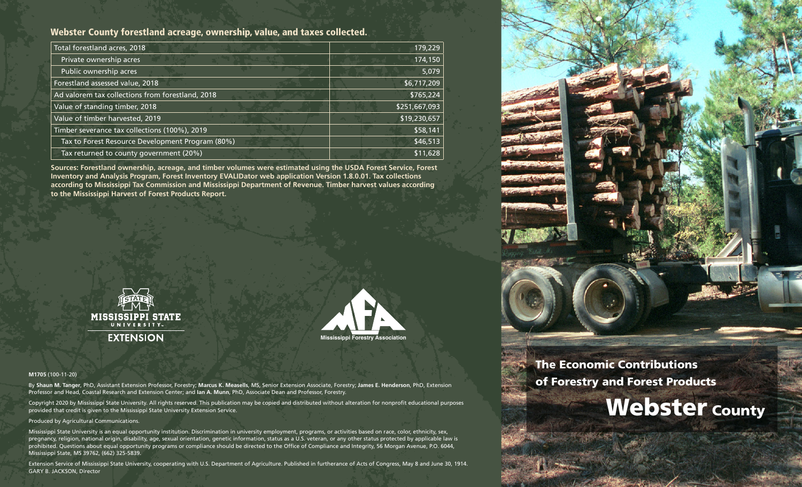# Webster County forestland acreage, ownership, value, and taxes collected.

| Total forestland acres, 2018                     | 179,229       |
|--------------------------------------------------|---------------|
| Private ownership acres                          | 174,150       |
| Public ownership acres                           | 5,079         |
| Forestland assessed value, 2018                  | \$6,717,209   |
| Ad valorem tax collections from forestland, 2018 | \$765,224     |
| Value of standing timber, 2018                   | \$251,667,093 |
| Value of timber harvested, 2019                  | \$19,230,657  |
| Timber severance tax collections (100%), 2019    | \$58,141      |
| Tax to Forest Resource Development Program (80%) | \$46,513      |
| Tax returned to county government (20%)          | \$11,628      |

**Sources: Forestland ownership, acreage, and timber volumes were estimated using the USDA Forest Service, Forest Inventory and Analysis Program, Forest Inventory EVALIDator web application Version 1.8.0.01. Tax collections according to Mississippi Tax Commission and Mississippi Department of Revenue. Timber harvest values according to the Mississippi Harvest of Forest Products Report.**





#### **M1705** (100-11-20)

By **Shaun M. Tanger**, PhD, Assistant Extension Professor, Forestry; **Marcus K. Measells**, MS, Senior Extension Associate, Forestry; **James E. Henderson**, PhD, Extension Professor and Head, Coastal Research and Extension Center; and **Ian A. Munn**, PhD, Associate Dean and Professor, Forestry.

Copyright 2020 by Mississippi State University. All rights reserved. This publication may be copied and distributed without alteration for nonprofit educational purposes provided that credit is given to the Mississippi State University Extension Service.

#### Produced by Agricultural Communications.

Mississippi State University is an equal opportunity institution. Discrimination in university employment, programs, or activities based on race, color, ethnicity, sex, pregnancy, religion, national origin, disability, age, sexual orientation, genetic information, status as a U.S. veteran, or any other status protected by applicable law is prohibited. Questions about equal opportunity programs or compliance should be directed to the Office of Compliance and Integrity, 56 Morgan Avenue, P.O. 6044, Mississippi State, MS 39762, (662) 325-5839.

Extension Service of Mississippi State University, cooperating with U.S. Department of Agriculture. Published in furtherance of Acts of Congress, May 8 and June 30, 1914. GARY B. JACKSON, Director



# The Economic Contributions of Forestry and Forest Products

# Webster County